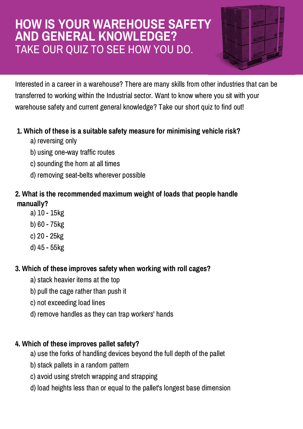## **HOW IS YOUR WAREHOUSE SAFETY AND GENERAL KNOWLEDGE?** TAKE OUR QUIZ TO SEE HOW YOU DO.



Interested in a career in a warehouse? There are many skills from other industries that can be transferred to working within the Industrial sector. Want to know where you sit with your warehouse safety and current general knowledge? Take our short quiz to find out!

### **1. Which of these is a suitable safety measure for minimising vehicle risk?**

- a) reversing only
- b) using one-way traffic routes
- c) sounding the horn at all times
- d) removing seat-belts wherever possible

## **2. What is the recommended maximum weight of loads that people handle manually?**

- a) 10 15kg
- b) 60 75kg
- c) 20 25kg
- d) 45 55kg

## **3. Which of these improves safety when working with roll cages?**

- a) stack heavier items at the top
- b) pull the cage rather than push it
- c) not exceeding load lines
- d) remove handles as they can trap workers' hands

## **4. Which of these improves pallet safety?**

- a) use the forks of handling devices beyond the full depth of the pallet
- b) stack pallets in a random pattern
- c) avoid using stretch wrapping and strapping
- d) load heights less than or equal to the pallet's longest base dimension